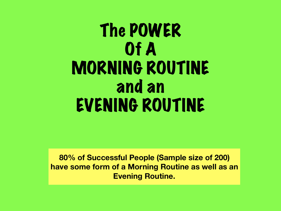# The POWER Of A MORNING ROUTINE and an EVENING ROUTINE

**80% of Successful People (Sample size of 200) have some form of a Morning Routine as well as an Evening Routine.**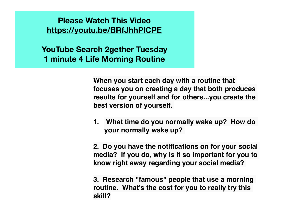**Please Watch This Video <https://youtu.be/BRfJhhPlCPE>**

**YouTube Search 2gether Tuesday 1 minute 4 Life Morning Routine** 

> **When you start each day with a routine that focuses you on creating a day that both produces results for yourself and for others...you create the best version of yourself.**

> **1. What time do you normally wake up? How do your normally wake up?**

**2. Do you have the notifications on for your social media? If you do, why is it so important for you to know right away regarding your social media?**

**3. Research "famous" people that use a morning routine. What's the cost for you to really try this skill?**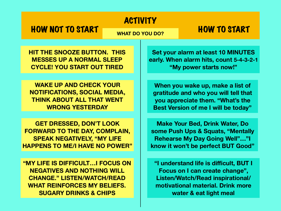### ACTIVITY

## HOW NOT TO START WHAT DO YOU DO? HOW TO START

**HIT THE SNOOZE BUTTON. THIS MESSES UP A NORMAL SLEEP CYCLE! YOU START OUT TIRED**

**WAKE UP AND CHECK YOUR NOTIFICATIONS, SOCIAL MEDIA, THINK ABOUT ALL THAT WENT WRONG YESTERDAY**

**GET DRESSED, DON'T LOOK FORWARD TO THE DAY, COMPLAIN, SPEAK NEGATIVELY, "MY LIFE HAPPENS TO ME/I HAVE NO POWER"**

**"MY LIFE IS DIFFICULT…I FOCUS ON NEGATIVES AND NOTHING WILL CHANGE." LISTEN/WATCH/READ WHAT REINFORCES MY BELIEFS. SUGARY DRINKS & CHIPS**

**Set your alarm at least 10 MINUTES early. When alarm hits, count 5-4-3-2-1 "My power starts now!"**

**When you wake up, make a list of gratitude and who you will tell that you appreciate them. "What's the Best Version of me I will be today"**

**Make Your Bed, Drink Water, Do some Push Ups & Squats, "Mentally Rehearse My Day Going Well"…"I know it won't be perfect BUT Good"**

**"I understand life is difficult, BUT I Focus on I can create change", Listen/Watch/Read inspirational/ motivational material. Drink more water & eat light meal**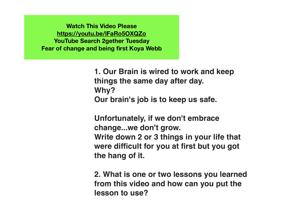**Watch This Video Please <https://youtu.be/lFaRo5OXQZo> YouTube Search 2gether Tuesday Fear of change and being first Koya Webb**

> **1. Our Brain is wired to work and keep things the same day after day. Why? Our brain's job is to keep us safe.**

**Unfortunately, if we don't embrace change...we don't grow. Write down 2 or 3 things in your life that were difficult for you at first but you got the hang of it.** 

**2. What is one or two lessons you learned from this video and how can you put the lesson to use?**